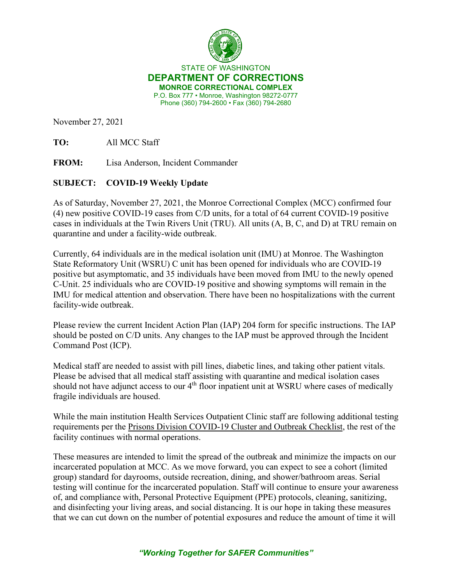

STATE OF WASHINGTON **DEPARTMENT OF CORRECTIONS MONROE CORRECTIONAL COMPLEX** P.O. Box 777 • Monroe, Washington 98272-0777 Phone (360) 794-2600 • Fax (360) 794-2680

November 27, 2021

**TO:** All MCC Staff

**FROM:** Lisa Anderson, Incident Commander

## **SUBJECT: COVID-19 Weekly Update**

As of Saturday, November 27, 2021, the Monroe Correctional Complex (MCC) confirmed four (4) new positive COVID-19 cases from C/D units, for a total of 64 current COVID-19 positive cases in individuals at the Twin Rivers Unit (TRU). All units (A, B, C, and D) at TRU remain on quarantine and under a facility-wide outbreak.

Currently, 64 individuals are in the medical isolation unit (IMU) at Monroe. The Washington State Reformatory Unit (WSRU) C unit has been opened for individuals who are COVID-19 positive but asymptomatic, and 35 individuals have been moved from IMU to the newly opened C-Unit. 25 individuals who are COVID-19 positive and showing symptoms will remain in the IMU for medical attention and observation. There have been no hospitalizations with the current facility-wide outbreak.

Please review the current Incident Action Plan (IAP) 204 form for specific instructions. The IAP should be posted on C/D units. Any changes to the IAP must be approved through the Incident Command Post (ICP).

Medical staff are needed to assist with pill lines, diabetic lines, and taking other patient vitals. Please be advised that all medical staff assisting with quarantine and medical isolation cases should not have adjunct access to our 4<sup>th</sup> floor inpatient unit at WSRU where cases of medically fragile individuals are housed.

While the main institution Health Services Outpatient Clinic staff are following additional testing requirements per the [Prisons Division COVID-19 Cluster and Outbreak Checklist,](https://www.doc.wa.gov/corrections/covid-19/docs/outbreak-checklist.pdf) the rest of the facility continues with normal operations.

These measures are intended to limit the spread of the outbreak and minimize the impacts on our incarcerated population at MCC. As we move forward, you can expect to see a cohort (limited group) standard for dayrooms, outside recreation, dining, and shower/bathroom areas. Serial testing will continue for the incarcerated population. Staff will continue to ensure your awareness of, and compliance with, Personal Protective Equipment (PPE) protocols, cleaning, sanitizing, and disinfecting your living areas, and social distancing. It is our hope in taking these measures that we can cut down on the number of potential exposures and reduce the amount of time it will